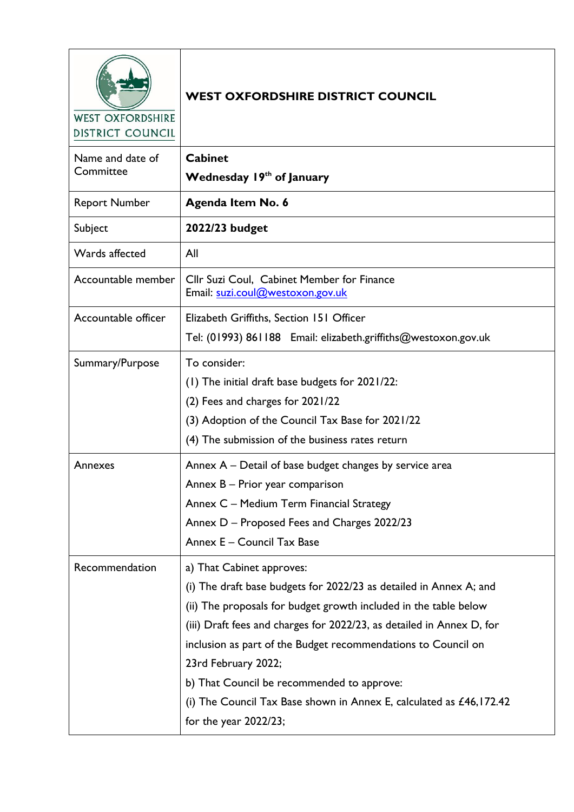| <b>WEST OXFORDSHIRE</b><br><b>DISTRICT COUNCIL</b> | <b>WEST OXFORDSHIRE DISTRICT COUNCIL</b>                                       |
|----------------------------------------------------|--------------------------------------------------------------------------------|
| Name and date of                                   | <b>Cabinet</b>                                                                 |
| Committee                                          | Wednesday 19th of January                                                      |
| <b>Report Number</b>                               | Agenda Item No. 6                                                              |
| Subject                                            | 2022/23 budget                                                                 |
| Wards affected                                     | All                                                                            |
| Accountable member                                 | Cllr Suzi Coul, Cabinet Member for Finance<br>Email: suzi.coul@westoxon.gov.uk |
| Accountable officer                                | Elizabeth Griffiths, Section 151 Officer                                       |
|                                                    | Tel: (01993) 861188 Email: elizabeth.griffiths@westoxon.gov.uk                 |
| Summary/Purpose                                    | To consider:                                                                   |
|                                                    | (1) The initial draft base budgets for 2021/22:                                |
|                                                    | (2) Fees and charges for 2021/22                                               |
|                                                    | (3) Adoption of the Council Tax Base for 2021/22                               |
|                                                    | (4) The submission of the business rates return                                |
| Annexes                                            | Annex A – Detail of base budget changes by service area                        |
|                                                    | Annex B - Prior year comparison                                                |
|                                                    | Annex C - Medium Term Financial Strategy                                       |
|                                                    | Annex D - Proposed Fees and Charges 2022/23                                    |
|                                                    | Annex E - Council Tax Base                                                     |
| Recommendation                                     | a) That Cabinet approves:                                                      |
|                                                    | (i) The draft base budgets for 2022/23 as detailed in Annex A; and             |
|                                                    | (ii) The proposals for budget growth included in the table below               |
|                                                    | (iii) Draft fees and charges for 2022/23, as detailed in Annex D, for          |
|                                                    | inclusion as part of the Budget recommendations to Council on                  |
|                                                    | 23rd February 2022;                                                            |
|                                                    | b) That Council be recommended to approve:                                     |
|                                                    | (i) The Council Tax Base shown in Annex E, calculated as $£46,172.42$          |
|                                                    | for the year 2022/23;                                                          |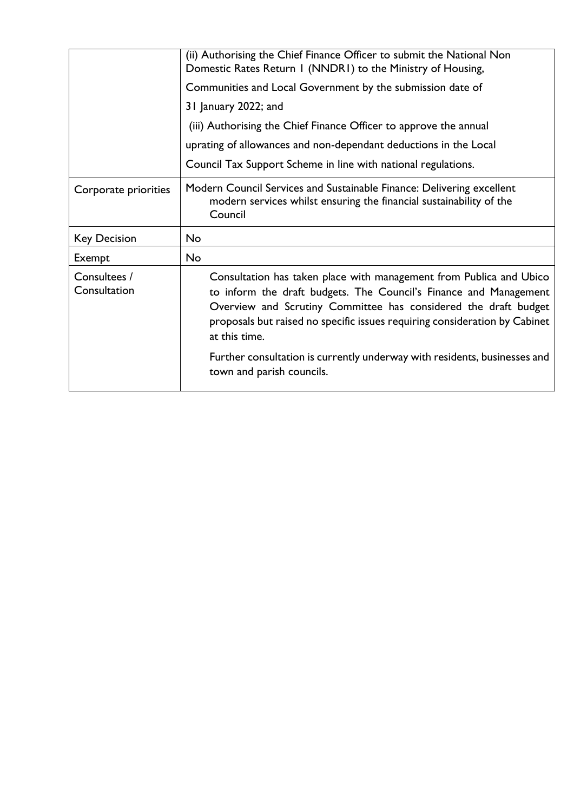|                              | (ii) Authorising the Chief Finance Officer to submit the National Non<br>Domestic Rates Return I (NNDRI) to the Ministry of Housing,                                                                                                                                                                                                                                                                                 |
|------------------------------|----------------------------------------------------------------------------------------------------------------------------------------------------------------------------------------------------------------------------------------------------------------------------------------------------------------------------------------------------------------------------------------------------------------------|
|                              | Communities and Local Government by the submission date of                                                                                                                                                                                                                                                                                                                                                           |
|                              | 31 January 2022; and                                                                                                                                                                                                                                                                                                                                                                                                 |
|                              | (iii) Authorising the Chief Finance Officer to approve the annual                                                                                                                                                                                                                                                                                                                                                    |
|                              | uprating of allowances and non-dependant deductions in the Local                                                                                                                                                                                                                                                                                                                                                     |
|                              | Council Tax Support Scheme in line with national regulations.                                                                                                                                                                                                                                                                                                                                                        |
| Corporate priorities         | Modern Council Services and Sustainable Finance: Delivering excellent<br>modern services whilst ensuring the financial sustainability of the<br>Council                                                                                                                                                                                                                                                              |
| <b>Key Decision</b>          | <b>No</b>                                                                                                                                                                                                                                                                                                                                                                                                            |
| Exempt                       | No                                                                                                                                                                                                                                                                                                                                                                                                                   |
| Consultees /<br>Consultation | Consultation has taken place with management from Publica and Ubico<br>to inform the draft budgets. The Council's Finance and Management<br>Overview and Scrutiny Committee has considered the draft budget<br>proposals but raised no specific issues requiring consideration by Cabinet<br>at this time.<br>Further consultation is currently underway with residents, businesses and<br>town and parish councils. |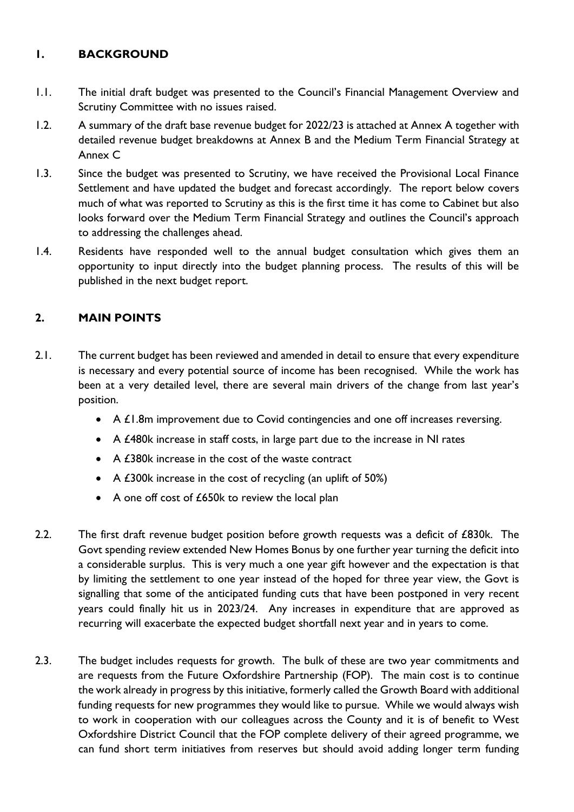## **1. BACKGROUND**

- 1.1. The initial draft budget was presented to the Council's Financial Management Overview and Scrutiny Committee with no issues raised.
- 1.2. A summary of the draft base revenue budget for 2022/23 is attached at Annex A together with detailed revenue budget breakdowns at Annex B and the Medium Term Financial Strategy at Annex C
- 1.3. Since the budget was presented to Scrutiny, we have received the Provisional Local Finance Settlement and have updated the budget and forecast accordingly. The report below covers much of what was reported to Scrutiny as this is the first time it has come to Cabinet but also looks forward over the Medium Term Financial Strategy and outlines the Council's approach to addressing the challenges ahead.
- 1.4. Residents have responded well to the annual budget consultation which gives them an opportunity to input directly into the budget planning process. The results of this will be published in the next budget report.

# **2. MAIN POINTS**

- 2.1. The current budget has been reviewed and amended in detail to ensure that every expenditure is necessary and every potential source of income has been recognised. While the work has been at a very detailed level, there are several main drivers of the change from last year's position.
	- A £1.8m improvement due to Covid contingencies and one off increases reversing.
	- A £480k increase in staff costs, in large part due to the increase in NI rates
	- A £380k increase in the cost of the waste contract
	- A £300k increase in the cost of recycling (an uplift of 50%)
	- A one off cost of £650k to review the local plan
- 2.2. The first draft revenue budget position before growth requests was a deficit of £830k. The Govt spending review extended New Homes Bonus by one further year turning the deficit into a considerable surplus. This is very much a one year gift however and the expectation is that by limiting the settlement to one year instead of the hoped for three year view, the Govt is signalling that some of the anticipated funding cuts that have been postponed in very recent years could finally hit us in 2023/24. Any increases in expenditure that are approved as recurring will exacerbate the expected budget shortfall next year and in years to come.
- 2.3. The budget includes requests for growth. The bulk of these are two year commitments and are requests from the Future Oxfordshire Partnership (FOP). The main cost is to continue the work already in progress by this initiative, formerly called the Growth Board with additional funding requests for new programmes they would like to pursue. While we would always wish to work in cooperation with our colleagues across the County and it is of benefit to West Oxfordshire District Council that the FOP complete delivery of their agreed programme, we can fund short term initiatives from reserves but should avoid adding longer term funding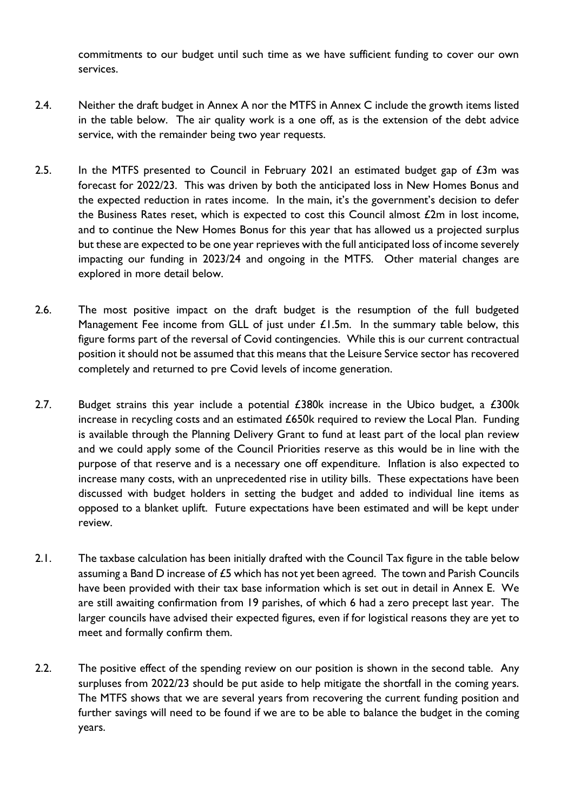commitments to our budget until such time as we have sufficient funding to cover our own services.

- 2.4. Neither the draft budget in Annex A nor the MTFS in Annex C include the growth items listed in the table below. The air quality work is a one off, as is the extension of the debt advice service, with the remainder being two year requests.
- 2.5. In the MTFS presented to Council in February 2021 an estimated budget gap of  $\pounds 3m$  was forecast for 2022/23. This was driven by both the anticipated loss in New Homes Bonus and the expected reduction in rates income. In the main, it's the government's decision to defer the Business Rates reset, which is expected to cost this Council almost  $£2m$  in lost income, and to continue the New Homes Bonus for this year that has allowed us a projected surplus but these are expected to be one year reprieves with the full anticipated loss of income severely impacting our funding in 2023/24 and ongoing in the MTFS. Other material changes are explored in more detail below.
- 2.6. The most positive impact on the draft budget is the resumption of the full budgeted Management Fee income from GLL of just under £1.5m. In the summary table below, this figure forms part of the reversal of Covid contingencies. While this is our current contractual position it should not be assumed that this means that the Leisure Service sector has recovered completely and returned to pre Covid levels of income generation.
- 2.7. Budget strains this year include a potential  $£380k$  increase in the Ubico budget, a  $£300k$ increase in recycling costs and an estimated £650k required to review the Local Plan. Funding is available through the Planning Delivery Grant to fund at least part of the local plan review and we could apply some of the Council Priorities reserve as this would be in line with the purpose of that reserve and is a necessary one off expenditure. Inflation is also expected to increase many costs, with an unprecedented rise in utility bills. These expectations have been discussed with budget holders in setting the budget and added to individual line items as opposed to a blanket uplift. Future expectations have been estimated and will be kept under review.
- 2.1. The taxbase calculation has been initially drafted with the Council Tax figure in the table below assuming a Band D increase of £5 which has not yet been agreed. The town and Parish Councils have been provided with their tax base information which is set out in detail in Annex E. We are still awaiting confirmation from 19 parishes, of which 6 had a zero precept last year. The larger councils have advised their expected figures, even if for logistical reasons they are yet to meet and formally confirm them.
- 2.2. The positive effect of the spending review on our position is shown in the second table. Any surpluses from 2022/23 should be put aside to help mitigate the shortfall in the coming years. The MTFS shows that we are several years from recovering the current funding position and further savings will need to be found if we are to be able to balance the budget in the coming years.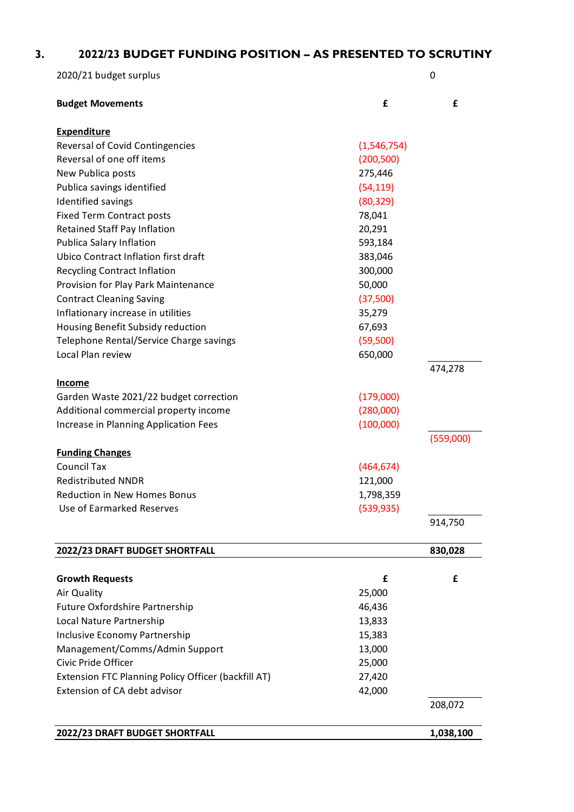| 2022/23 BUDGET FUNDING POSITION - AS PRESENTED TO SCRUTINY |             |             |
|------------------------------------------------------------|-------------|-------------|
| 2020/21 budget surplus                                     |             | $\mathbf 0$ |
| <b>Budget Movements</b>                                    | £           | £           |
| <b>Expenditure</b>                                         |             |             |
| Reversal of Covid Contingencies                            | (1,546,754) |             |
| Reversal of one off items                                  | (200, 500)  |             |
| New Publica posts                                          | 275,446     |             |
| Publica savings identified                                 | (54, 119)   |             |
| <b>Identified savings</b>                                  | (80, 329)   |             |
| <b>Fixed Term Contract posts</b>                           | 78,041      |             |
| Retained Staff Pay Inflation                               | 20,291      |             |
| Publica Salary Inflation                                   | 593,184     |             |
| Ubico Contract Inflation first draft                       | 383,046     |             |
| <b>Recycling Contract Inflation</b>                        | 300,000     |             |
| Provision for Play Park Maintenance                        | 50,000      |             |
| <b>Contract Cleaning Saving</b>                            | (37,500)    |             |
| Inflationary increase in utilities                         | 35,279      |             |
| Housing Benefit Subsidy reduction                          | 67,693      |             |
| Telephone Rental/Service Charge savings                    | (59,500)    |             |
| Local Plan review                                          | 650,000     |             |
| <b>Income</b>                                              |             | 474,278     |
| Garden Waste 2021/22 budget correction                     | (179,000)   |             |
| Additional commercial property income                      | (280,000)   |             |
| Increase in Planning Application Fees                      | (100,000)   |             |
|                                                            |             | (559,000)   |
| <b>Funding Changes</b>                                     |             |             |
| <b>Council Tax</b>                                         | (464, 674)  |             |
| <b>Redistributed NNDR</b>                                  | 121,000     |             |
| <b>Reduction in New Homes Bonus</b>                        | 1,798,359   |             |
| Use of Earmarked Reserves                                  | (539, 935)  |             |
|                                                            |             | 914,750     |
| 2022/23 DRAFT BUDGET SHORTFALL                             |             | 830,028     |
| <b>Growth Requests</b>                                     | £           | £           |
| Air Quality                                                | 25,000      |             |
| <b>Future Oxfordshire Partnership</b>                      | 46,436      |             |
| Local Nature Partnership                                   | 13,833      |             |
| Inclusive Economy Partnership                              | 15,383      |             |
| Management/Comms/Admin Support                             | 13,000      |             |

**2022/23 DRAFT BUDGET SHORTFALL 1,038,100** 

Civic Pride Officer 25,000 Extension FTC Planning Policy Officer (backfill AT) 27,420 Extension of CA debt advisor **42,000** 

208,072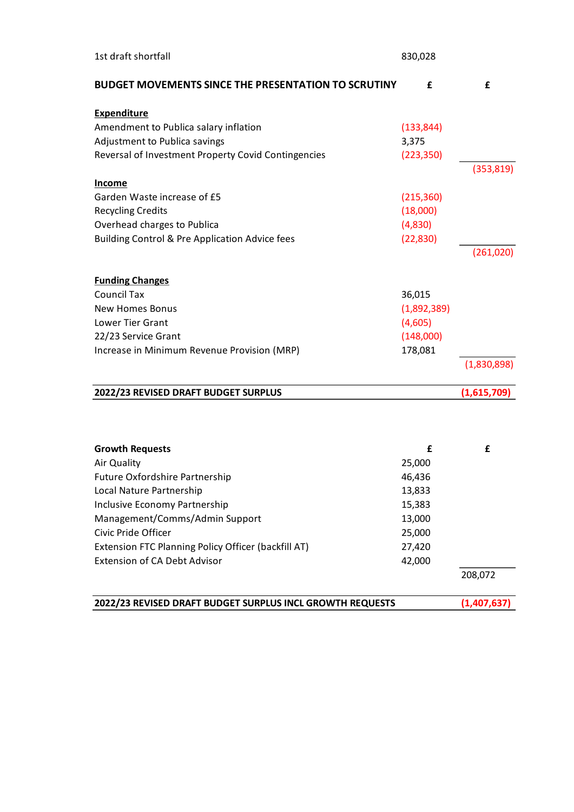| 1st draft shortfall                                        |                     |             |
|------------------------------------------------------------|---------------------|-------------|
| <b>BUDGET MOVEMENTS SINCE THE PRESENTATION TO SCRUTINY</b> | £                   | £           |
| <b>Expenditure</b>                                         |                     |             |
| Amendment to Publica salary inflation                      | (133, 844)          |             |
| Adjustment to Publica savings                              | 3,375               |             |
| Reversal of Investment Property Covid Contingencies        | (223, 350)          |             |
|                                                            |                     | (353, 819)  |
| <u>Income</u>                                              | (215, 360)          |             |
| Garden Waste increase of £5                                |                     |             |
| <b>Recycling Credits</b><br>Overhead charges to Publica    | (18,000)<br>(4,830) |             |
| Building Control & Pre Application Advice fees             | (22, 830)           |             |
|                                                            |                     | (261,020)   |
|                                                            |                     |             |
| <b>Funding Changes</b>                                     |                     |             |
| <b>Council Tax</b>                                         | 36,015              |             |
| <b>New Homes Bonus</b>                                     | (1,892,389)         |             |
| Lower Tier Grant                                           | (4,605)             |             |
| 22/23 Service Grant                                        | (148,000)           |             |
| Increase in Minimum Revenue Provision (MRP)                | 178,081             |             |
|                                                            |                     | (1,830,898) |
| 2022/23 REVISED DRAFT BUDGET SURPLUS                       |                     | (1,615,709) |
|                                                            |                     |             |
| <b>Growth Requests</b>                                     | £                   | £           |
| Air Quality                                                | 25,000              |             |
| Future Oxfordshire Partnership                             | 46,436              |             |
| Local Nature Partnership                                   | 13,833              |             |
| Inclusive Economy Partnership                              | 15,383              |             |
| Management/Comms/Admin Support                             | 13,000              |             |
| Civic Pride Officer                                        | 25,000              |             |
| Extension FTC Planning Policy Officer (backfill AT)        | 27,420              |             |
| <b>Extension of CA Debt Advisor</b>                        | 42,000              |             |
|                                                            |                     | 208,072     |
| 2022/23 REVISED DRAFT BUDGET SURPLUS INCL GROWTH REQUESTS  |                     |             |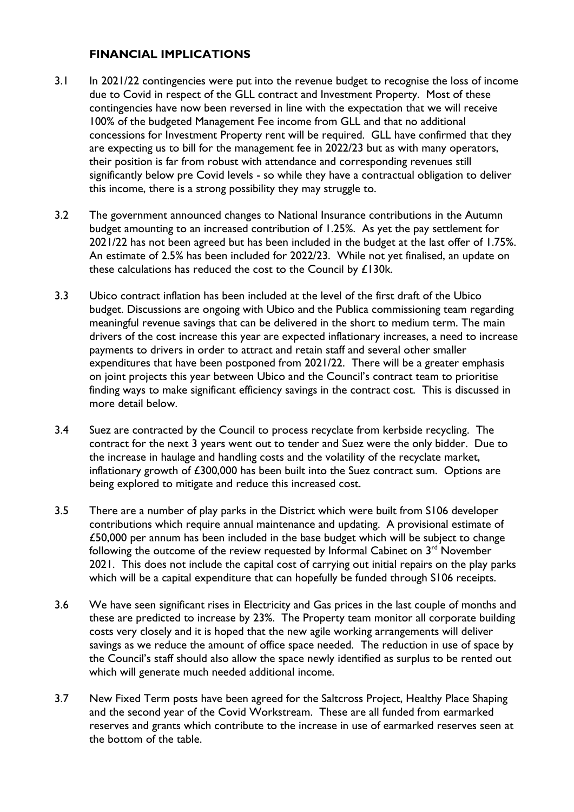## **FINANCIAL IMPLICATIONS**

- 3.1 In 2021/22 contingencies were put into the revenue budget to recognise the loss of income due to Covid in respect of the GLL contract and Investment Property. Most of these contingencies have now been reversed in line with the expectation that we will receive 100% of the budgeted Management Fee income from GLL and that no additional concessions for Investment Property rent will be required. GLL have confirmed that they are expecting us to bill for the management fee in 2022/23 but as with many operators, their position is far from robust with attendance and corresponding revenues still significantly below pre Covid levels - so while they have a contractual obligation to deliver this income, there is a strong possibility they may struggle to.
- 3.2 The government announced changes to National Insurance contributions in the Autumn budget amounting to an increased contribution of 1.25%. As yet the pay settlement for 2021/22 has not been agreed but has been included in the budget at the last offer of 1.75%. An estimate of 2.5% has been included for 2022/23. While not yet finalised, an update on these calculations has reduced the cost to the Council by £130k.
- 3.3 Ubico contract inflation has been included at the level of the first draft of the Ubico budget. Discussions are ongoing with Ubico and the Publica commissioning team regarding meaningful revenue savings that can be delivered in the short to medium term. The main drivers of the cost increase this year are expected inflationary increases, a need to increase payments to drivers in order to attract and retain staff and several other smaller expenditures that have been postponed from 2021/22. There will be a greater emphasis on joint projects this year between Ubico and the Council's contract team to prioritise finding ways to make significant efficiency savings in the contract cost. This is discussed in more detail below.
- 3.4 Suez are contracted by the Council to process recyclate from kerbside recycling. The contract for the next 3 years went out to tender and Suez were the only bidder. Due to the increase in haulage and handling costs and the volatility of the recyclate market, inflationary growth of £300,000 has been built into the Suez contract sum. Options are being explored to mitigate and reduce this increased cost.
- 3.5 There are a number of play parks in the District which were built from S106 developer contributions which require annual maintenance and updating. A provisional estimate of £50,000 per annum has been included in the base budget which will be subject to change following the outcome of the review requested by Informal Cabinet on  $3<sup>rd</sup>$  November 2021. This does not include the capital cost of carrying out initial repairs on the play parks which will be a capital expenditure that can hopefully be funded through S106 receipts.
- 3.6 We have seen significant rises in Electricity and Gas prices in the last couple of months and these are predicted to increase by 23%. The Property team monitor all corporate building costs very closely and it is hoped that the new agile working arrangements will deliver savings as we reduce the amount of office space needed. The reduction in use of space by the Council's staff should also allow the space newly identified as surplus to be rented out which will generate much needed additional income.
- 3.7 New Fixed Term posts have been agreed for the Saltcross Project, Healthy Place Shaping and the second year of the Covid Workstream. These are all funded from earmarked reserves and grants which contribute to the increase in use of earmarked reserves seen at the bottom of the table.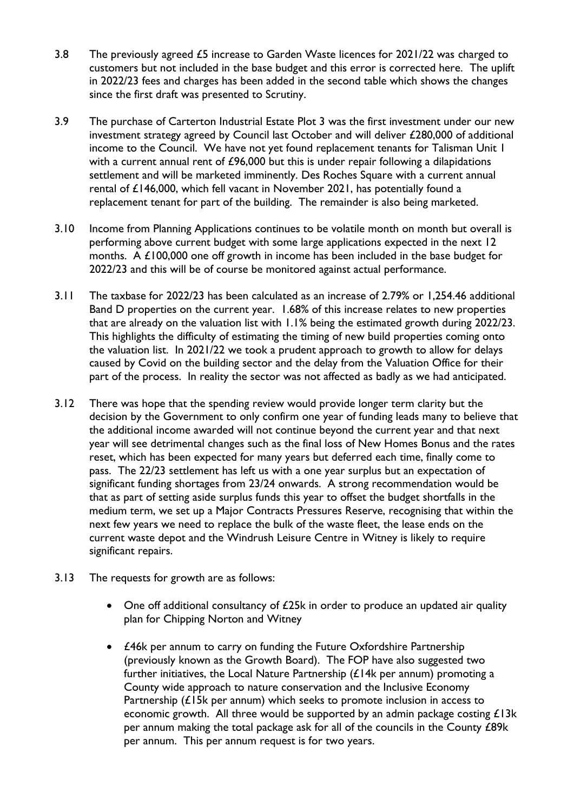- 3.8 The previously agreed £5 increase to Garden Waste licences for 2021/22 was charged to customers but not included in the base budget and this error is corrected here. The uplift in 2022/23 fees and charges has been added in the second table which shows the changes since the first draft was presented to Scrutiny.
- 3.9 The purchase of Carterton Industrial Estate Plot 3 was the first investment under our new investment strategy agreed by Council last October and will deliver £280,000 of additional income to the Council. We have not yet found replacement tenants for Talisman Unit 1 with a current annual rent of £96,000 but this is under repair following a dilapidations settlement and will be marketed imminently. Des Roches Square with a current annual rental of £146,000, which fell vacant in November 2021, has potentially found a replacement tenant for part of the building. The remainder is also being marketed.
- 3.10 Income from Planning Applications continues to be volatile month on month but overall is performing above current budget with some large applications expected in the next 12 months. A £100,000 one off growth in income has been included in the base budget for 2022/23 and this will be of course be monitored against actual performance.
- 3.11 The taxbase for 2022/23 has been calculated as an increase of 2.79% or 1,254.46 additional Band D properties on the current year. 1.68% of this increase relates to new properties that are already on the valuation list with 1.1% being the estimated growth during 2022/23. This highlights the difficulty of estimating the timing of new build properties coming onto the valuation list. In 2021/22 we took a prudent approach to growth to allow for delays caused by Covid on the building sector and the delay from the Valuation Office for their part of the process. In reality the sector was not affected as badly as we had anticipated.
- 3.12 There was hope that the spending review would provide longer term clarity but the decision by the Government to only confirm one year of funding leads many to believe that the additional income awarded will not continue beyond the current year and that next year will see detrimental changes such as the final loss of New Homes Bonus and the rates reset, which has been expected for many years but deferred each time, finally come to pass. The 22/23 settlement has left us with a one year surplus but an expectation of significant funding shortages from 23/24 onwards. A strong recommendation would be that as part of setting aside surplus funds this year to offset the budget shortfalls in the medium term, we set up a Major Contracts Pressures Reserve, recognising that within the next few years we need to replace the bulk of the waste fleet, the lease ends on the current waste depot and the Windrush Leisure Centre in Witney is likely to require significant repairs.
- 3.13 The requests for growth are as follows:
	- One off additional consultancy of £25k in order to produce an updated air quality plan for Chipping Norton and Witney
	- £46k per annum to carry on funding the Future Oxfordshire Partnership (previously known as the Growth Board). The FOP have also suggested two further initiatives, the Local Nature Partnership (£14k per annum) promoting a County wide approach to nature conservation and the Inclusive Economy Partnership (£15k per annum) which seeks to promote inclusion in access to economic growth. All three would be supported by an admin package costing £13k per annum making the total package ask for all of the councils in the County £89k per annum. This per annum request is for two years.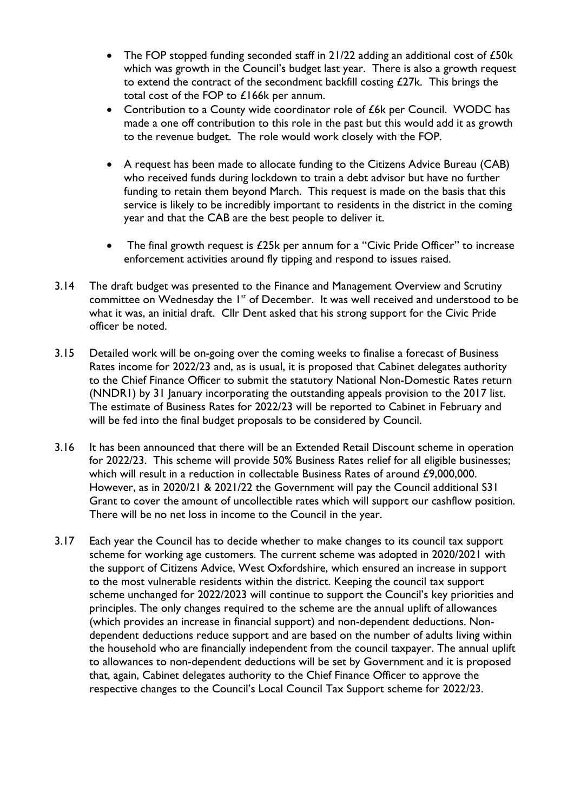- The FOP stopped funding seconded staff in 21/22 adding an additional cost of £50k which was growth in the Council's budget last year. There is also a growth request to extend the contract of the secondment backfill costing  $£27k$ . This brings the total cost of the FOP to £166k per annum.
- Contribution to a County wide coordinator role of £6k per Council. WODC has made a one off contribution to this role in the past but this would add it as growth to the revenue budget. The role would work closely with the FOP.
- A request has been made to allocate funding to the Citizens Advice Bureau (CAB) who received funds during lockdown to train a debt advisor but have no further funding to retain them beyond March. This request is made on the basis that this service is likely to be incredibly important to residents in the district in the coming year and that the CAB are the best people to deliver it.
- The final growth request is £25k per annum for a "Civic Pride Officer" to increase enforcement activities around fly tipping and respond to issues raised.
- 3.14 The draft budget was presented to the Finance and Management Overview and Scrutiny committee on Wednesday the 1<sup>st</sup> of December. It was well received and understood to be what it was, an initial draft. Cllr Dent asked that his strong support for the Civic Pride officer be noted.
- 3.15 Detailed work will be on-going over the coming weeks to finalise a forecast of Business Rates income for 2022/23 and, as is usual, it is proposed that Cabinet delegates authority to the Chief Finance Officer to submit the statutory National Non-Domestic Rates return (NNDR1) by 31 January incorporating the outstanding appeals provision to the 2017 list. The estimate of Business Rates for 2022/23 will be reported to Cabinet in February and will be fed into the final budget proposals to be considered by Council.
- 3.16 It has been announced that there will be an Extended Retail Discount scheme in operation for 2022/23. This scheme will provide 50% Business Rates relief for all eligible businesses; which will result in a reduction in collectable Business Rates of around £9,000,000. However, as in 2020/21 & 2021/22 the Government will pay the Council additional S31 Grant to cover the amount of uncollectible rates which will support our cashflow position. There will be no net loss in income to the Council in the year.
- 3.17 Each year the Council has to decide whether to make changes to its council tax support scheme for working age customers. The current scheme was adopted in 2020/2021 with the support of Citizens Advice, West Oxfordshire, which ensured an increase in support to the most vulnerable residents within the district. Keeping the council tax support scheme unchanged for 2022/2023 will continue to support the Council's key priorities and principles. The only changes required to the scheme are the annual uplift of allowances (which provides an increase in financial support) and non-dependent deductions. Nondependent deductions reduce support and are based on the number of adults living within the household who are financially independent from the council taxpayer. The annual uplift to allowances to non-dependent deductions will be set by Government and it is proposed that, again, Cabinet delegates authority to the Chief Finance Officer to approve the respective changes to the Council's Local Council Tax Support scheme for 2022/23.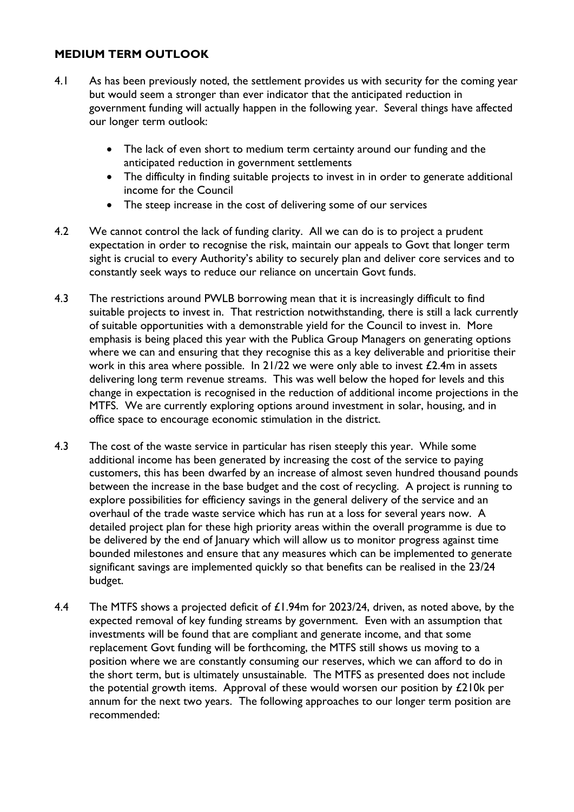## **MEDIUM TERM OUTLOOK**

- 4.1 As has been previously noted, the settlement provides us with security for the coming year but would seem a stronger than ever indicator that the anticipated reduction in government funding will actually happen in the following year. Several things have affected our longer term outlook:
	- The lack of even short to medium term certainty around our funding and the anticipated reduction in government settlements
	- The difficulty in finding suitable projects to invest in in order to generate additional income for the Council
	- The steep increase in the cost of delivering some of our services
- 4.2 We cannot control the lack of funding clarity. All we can do is to project a prudent expectation in order to recognise the risk, maintain our appeals to Govt that longer term sight is crucial to every Authority's ability to securely plan and deliver core services and to constantly seek ways to reduce our reliance on uncertain Govt funds.
- 4.3 The restrictions around PWLB borrowing mean that it is increasingly difficult to find suitable projects to invest in. That restriction notwithstanding, there is still a lack currently of suitable opportunities with a demonstrable yield for the Council to invest in. More emphasis is being placed this year with the Publica Group Managers on generating options where we can and ensuring that they recognise this as a key deliverable and prioritise their work in this area where possible. In  $21/22$  we were only able to invest  $\text{\textsterling}2.4\text{m}$  in assets delivering long term revenue streams. This was well below the hoped for levels and this change in expectation is recognised in the reduction of additional income projections in the MTFS. We are currently exploring options around investment in solar, housing, and in office space to encourage economic stimulation in the district.
- 4.3 The cost of the waste service in particular has risen steeply this year. While some additional income has been generated by increasing the cost of the service to paying customers, this has been dwarfed by an increase of almost seven hundred thousand pounds between the increase in the base budget and the cost of recycling. A project is running to explore possibilities for efficiency savings in the general delivery of the service and an overhaul of the trade waste service which has run at a loss for several years now. A detailed project plan for these high priority areas within the overall programme is due to be delivered by the end of January which will allow us to monitor progress against time bounded milestones and ensure that any measures which can be implemented to generate significant savings are implemented quickly so that benefits can be realised in the 23/24 budget.
- 4.4 The MTFS shows a projected deficit of £1.94m for 2023/24, driven, as noted above, by the expected removal of key funding streams by government. Even with an assumption that investments will be found that are compliant and generate income, and that some replacement Govt funding will be forthcoming, the MTFS still shows us moving to a position where we are constantly consuming our reserves, which we can afford to do in the short term, but is ultimately unsustainable. The MTFS as presented does not include the potential growth items. Approval of these would worsen our position by £210k per annum for the next two years. The following approaches to our longer term position are recommended: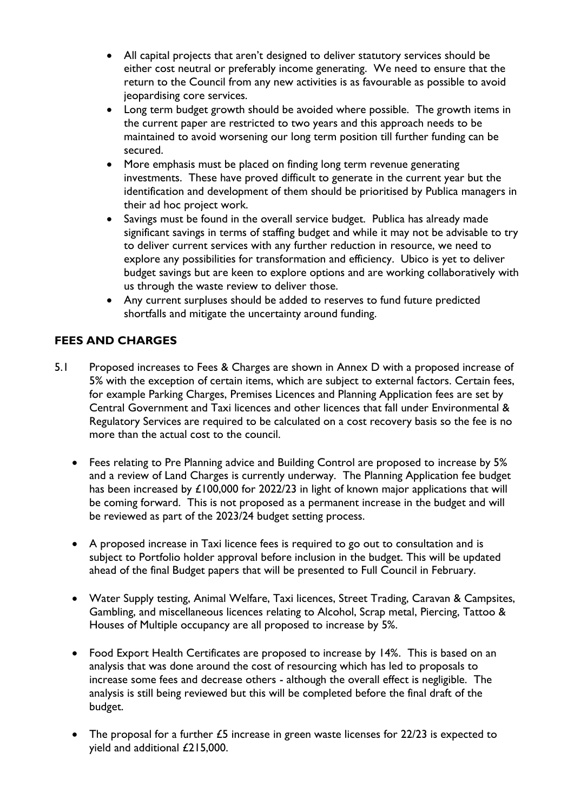- All capital projects that aren't designed to deliver statutory services should be either cost neutral or preferably income generating. We need to ensure that the return to the Council from any new activities is as favourable as possible to avoid jeopardising core services.
- Long term budget growth should be avoided where possible. The growth items in the current paper are restricted to two years and this approach needs to be maintained to avoid worsening our long term position till further funding can be secured.
- More emphasis must be placed on finding long term revenue generating investments. These have proved difficult to generate in the current year but the identification and development of them should be prioritised by Publica managers in their ad hoc project work.
- Savings must be found in the overall service budget. Publica has already made significant savings in terms of staffing budget and while it may not be advisable to try to deliver current services with any further reduction in resource, we need to explore any possibilities for transformation and efficiency. Ubico is yet to deliver budget savings but are keen to explore options and are working collaboratively with us through the waste review to deliver those.
- Any current surpluses should be added to reserves to fund future predicted shortfalls and mitigate the uncertainty around funding.

# **FEES AND CHARGES**

- 5.1 Proposed increases to Fees & Charges are shown in Annex D with a proposed increase of 5% with the exception of certain items, which are subject to external factors. Certain fees, for example Parking Charges, Premises Licences and Planning Application fees are set by Central Government and Taxi licences and other licences that fall under Environmental & Regulatory Services are required to be calculated on a cost recovery basis so the fee is no more than the actual cost to the council.
	- Fees relating to Pre Planning advice and Building Control are proposed to increase by 5% and a review of Land Charges is currently underway. The Planning Application fee budget has been increased by £100,000 for 2022/23 in light of known major applications that will be coming forward. This is not proposed as a permanent increase in the budget and will be reviewed as part of the 2023/24 budget setting process.
	- A proposed increase in Taxi licence fees is required to go out to consultation and is subject to Portfolio holder approval before inclusion in the budget. This will be updated ahead of the final Budget papers that will be presented to Full Council in February.
	- Water Supply testing, Animal Welfare, Taxi licences, Street Trading, Caravan & Campsites, Gambling, and miscellaneous licences relating to Alcohol, Scrap metal, Piercing, Tattoo & Houses of Multiple occupancy are all proposed to increase by 5%.
	- Food Export Health Certificates are proposed to increase by 14%. This is based on an analysis that was done around the cost of resourcing which has led to proposals to increase some fees and decrease others - although the overall effect is negligible. The analysis is still being reviewed but this will be completed before the final draft of the budget.
	- The proposal for a further £5 increase in green waste licenses for 22/23 is expected to yield and additional £215,000.